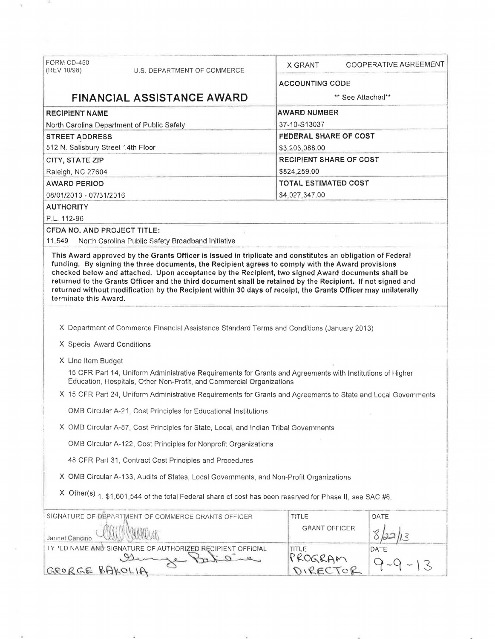| FORM CD-450<br>(REV 10/98)         | U.S. DEPARTMENT OF COMMERCE                                                                                                                                                                                                  | X GRANT                     | COOPERATIVE AGREEMENT |  |
|------------------------------------|------------------------------------------------------------------------------------------------------------------------------------------------------------------------------------------------------------------------------|-----------------------------|-----------------------|--|
|                                    |                                                                                                                                                                                                                              | <b>ACCOUNTING CODE</b>      |                       |  |
| <b>FINANCIAL ASSISTANCE AWARD</b>  |                                                                                                                                                                                                                              | ** See Attached**           |                       |  |
| <b>RECIPIENT NAME</b>              |                                                                                                                                                                                                                              | <b>AWARD NUMBER</b>         |                       |  |
|                                    | North Carolina Department of Public Safety                                                                                                                                                                                   | 37-10-S13037                |                       |  |
| <b>STREET ADDRESS</b>              |                                                                                                                                                                                                                              | FEDERAL SHARE OF COST       |                       |  |
| 512 N. Salisbury Street 14th Floor |                                                                                                                                                                                                                              | \$3,203,088.00              |                       |  |
| CITY, STATE ZIP                    |                                                                                                                                                                                                                              | RECIPIENT SHARE OF COST     |                       |  |
| Raleigh, NC 27604                  |                                                                                                                                                                                                                              | \$824,259.00                |                       |  |
| <b>AWARD PERIOD</b>                |                                                                                                                                                                                                                              | <b>TOTAL ESTIMATED COST</b> |                       |  |
| 08/01/2013 - 07/31/2016            |                                                                                                                                                                                                                              | \$4,027,347.00              |                       |  |
| <b>AUTHORITY</b>                   |                                                                                                                                                                                                                              |                             |                       |  |
| P.L. 112-96                        |                                                                                                                                                                                                                              |                             |                       |  |
| CFDA NO. AND PROJECT TITLE:        |                                                                                                                                                                                                                              |                             |                       |  |
| 11,549                             | North Carolina Public Safety Broadband Initiative                                                                                                                                                                            |                             |                       |  |
| terminate this Award.              | returned to the Grants Officer and the third document shall be retained by the Recipient. If not signed and<br>returned without modification by the Recipient within 30 days of receipt, the Grants Officer may unilaterally |                             |                       |  |
|                                    | X Department of Commerce Financial Assistance Standard Terms and Conditions (January 2013)                                                                                                                                   |                             |                       |  |
| X Special Award Conditions         |                                                                                                                                                                                                                              |                             |                       |  |
|                                    |                                                                                                                                                                                                                              |                             |                       |  |
| X Line Item Budget                 | 15 CFR Part 14, Uniform Administrative Requirements for Grants and Agreements with Institutions of Higher<br>Education, Hospitals, Other Non-Profit, and Commercial Organizations                                            |                             |                       |  |
|                                    | X 15 CFR Part 24, Uniform Administrative Requirements for Grants and Agreements to State and Local Governments                                                                                                               |                             |                       |  |
|                                    | OMB Circular A-21, Cost Principles for Educational Institutions                                                                                                                                                              |                             |                       |  |
|                                    | X OMB Circular A-87, Cost Principles for State, Local, and Indian Tribal Governments                                                                                                                                         |                             |                       |  |
|                                    | OMB Circular A-122, Cost Principles for Nonprofit Organizations                                                                                                                                                              |                             |                       |  |
|                                    | 48 CFR Part 31, Contract Cost Principles and Procedures                                                                                                                                                                      |                             |                       |  |
|                                    | X OMB Circular A-133, Audits of States, Local Governments, and Non-Profit Organizations                                                                                                                                      |                             |                       |  |
|                                    | X Other(s) 1, \$1,601,544 of the total Federal share of cost has been reserved for Phase II, see SAC #6.                                                                                                                     |                             |                       |  |
|                                    | SIGNATURE OF DEPARTMENT OF COMMERCE GRANTS OFFICER                                                                                                                                                                           | <b>TITLE</b>                | DATE                  |  |
|                                    |                                                                                                                                                                                                                              | <b>GRANT OFFICER</b>        |                       |  |
| Jannet Cancino                     |                                                                                                                                                                                                                              | TITLE                       | DATE                  |  |
|                                    | TYPED NAME AND SIGNATURE OF AUTHORIZED RECIPIENT OFFICIAL                                                                                                                                                                    | PROGRAM                     |                       |  |

 $\mathbf{R}$  and  $\mathbf{R}$  . Then  $\mathbf{R}$